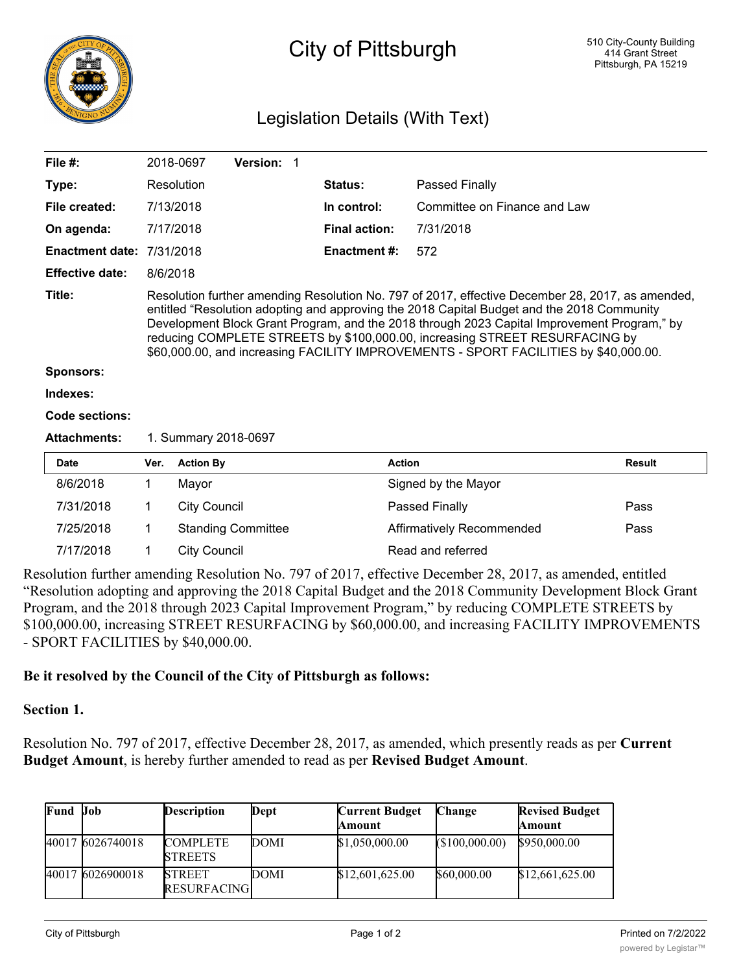

# City of Pittsburgh

## Legislation Details (With Text)

| File $#$ :                       |                                                                                                                                                                                                                                                                                                                                                                                                                                                                      | Version: 1<br>2018-0697   |                      |                                   |               |  |
|----------------------------------|----------------------------------------------------------------------------------------------------------------------------------------------------------------------------------------------------------------------------------------------------------------------------------------------------------------------------------------------------------------------------------------------------------------------------------------------------------------------|---------------------------|----------------------|-----------------------------------|---------------|--|
| Type:                            |                                                                                                                                                                                                                                                                                                                                                                                                                                                                      | Resolution                | Status:              | Passed Finally                    |               |  |
| File created:                    |                                                                                                                                                                                                                                                                                                                                                                                                                                                                      | 7/13/2018                 | In control:          | Committee on Finance and Law      |               |  |
| On agenda:                       |                                                                                                                                                                                                                                                                                                                                                                                                                                                                      | 7/17/2018                 | <b>Final action:</b> | 7/31/2018                         |               |  |
| <b>Enactment date: 7/31/2018</b> |                                                                                                                                                                                                                                                                                                                                                                                                                                                                      |                           | Enactment #:         | 572                               |               |  |
| <b>Effective date:</b>           | 8/6/2018                                                                                                                                                                                                                                                                                                                                                                                                                                                             |                           |                      |                                   |               |  |
| Title:                           | Resolution further amending Resolution No. 797 of 2017, effective December 28, 2017, as amended,<br>entitled "Resolution adopting and approving the 2018 Capital Budget and the 2018 Community<br>Development Block Grant Program, and the 2018 through 2023 Capital Improvement Program," by<br>reducing COMPLETE STREETS by \$100,000.00, increasing STREET RESURFACING by<br>\$60,000.00, and increasing FACILITY IMPROVEMENTS - SPORT FACILITIES by \$40,000.00. |                           |                      |                                   |               |  |
| <b>Sponsors:</b>                 |                                                                                                                                                                                                                                                                                                                                                                                                                                                                      |                           |                      |                                   |               |  |
| Indexes:                         |                                                                                                                                                                                                                                                                                                                                                                                                                                                                      |                           |                      |                                   |               |  |
| Code sections:                   |                                                                                                                                                                                                                                                                                                                                                                                                                                                                      |                           |                      |                                   |               |  |
| <b>Attachments:</b>              |                                                                                                                                                                                                                                                                                                                                                                                                                                                                      | 1. Summary 2018-0697      |                      |                                   |               |  |
| <b>Date</b>                      | Ver.                                                                                                                                                                                                                                                                                                                                                                                                                                                                 | <b>Action By</b>          | <b>Action</b>        |                                   | <b>Result</b> |  |
| 8/6/2018                         | 1                                                                                                                                                                                                                                                                                                                                                                                                                                                                    | Mayor                     |                      | Signed by the Mayor               |               |  |
| 7/31/2018                        | 1                                                                                                                                                                                                                                                                                                                                                                                                                                                                    | <b>City Council</b>       |                      | Passed Finally                    | Pass          |  |
| 7/25/2018                        | 1                                                                                                                                                                                                                                                                                                                                                                                                                                                                    | <b>Standing Committee</b> |                      | Affirmatively Recommended<br>Pass |               |  |
| 7/17/2018                        | 1                                                                                                                                                                                                                                                                                                                                                                                                                                                                    | <b>City Council</b>       |                      | Read and referred                 |               |  |
|                                  |                                                                                                                                                                                                                                                                                                                                                                                                                                                                      |                           |                      |                                   |               |  |

Resolution further amending Resolution No. 797 of 2017, effective December 28, 2017, as amended, entitled "Resolution adopting and approving the 2018 Capital Budget and the 2018 Community Development Block Grant Program, and the 2018 through 2023 Capital Improvement Program," by reducing COMPLETE STREETS by \$100,000.00, increasing STREET RESURFACING by \$60,000.00, and increasing FACILITY IMPROVEMENTS - SPORT FACILITIES by \$40,000.00.

### **Be it resolved by the Council of the City of Pittsburgh as follows:**

<u>IMPROVEMENT (IN 1992)</u>

### **Section 1.**

Resolution No. 797 of 2017, effective December 28, 2017, as amended, which presently reads as per **Current Budget Amount**, is hereby further amended to read as per **Revised Budget Amount**.

| Fund  | Job              | <b>Description</b>                   | Dept | <b>Current Budget</b><br>Amount | <b>Change</b> | <b>Revised Budget</b><br>Amount |
|-------|------------------|--------------------------------------|------|---------------------------------|---------------|---------------------------------|
|       | 40017 6026740018 | <b>COMPLETE</b><br><b>STREETS</b>    | DOMI | \$1,050,000.00                  | (S100,000.00) | \$950,000.00                    |
| 40017 | 6026900018       | <b>STREET</b><br><b>RESURFACINGI</b> | DOMI | \$12,601,625.00                 | \$60,000.00   | \$12,661,625.00                 |

<u>FACILITY OF STATISTICS</u>